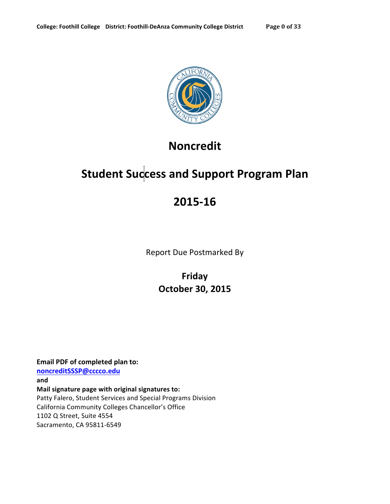

# **Noncredit**

# **Student Success and Support Program Plan**

# **2015-16**

Report Due Postmarked By

**Friday October+30,+2015**

**Email PDF of completed plan to: noncreditSSSP@cccco.edu and** Mail signature page with original signatures to: Patty Falero, Student Services and Special Programs Division California Community Colleges Chancellor's Office 1102 Q Street, Suite 4554 Sacramento, CA 95811-6549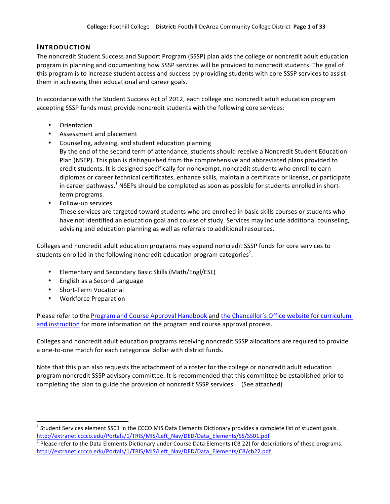### **INTRODUCTION**

The noncredit Student Success and Support Program (SSSP) plan aids the college or noncredit adult education program in planning and documenting how SSSP services will be provided to noncredit students. The goal of this program is to increase student access and success by providing students with core SSSP services to assist them in achieving their educational and career goals.

In accordance with the Student Success Act of 2012, each college and noncredit adult education program accepting SSSP funds must provide noncredit students with the following core services:

- Orientation
- Assessment and placement
- Counseling, advising, and student education planning By the end of the second term of attendance, students should receive a Noncredit Student Education Plan (NSEP). This plan is distinguished from the comprehensive and abbreviated plans provided to credit students. It is designed specifically for nonexempt, noncredit students who enroll to earn diplomas or career technical certificates, enhance skills, maintain a certificate or license, or participate in career pathways.<sup>1</sup> NSEPs should be completed as soon as possible for students enrolled in shortterm programs.
- Follow-up services

These services are targeted toward students who are enrolled in basic skills courses or students who have not identified an education goal and course of study. Services may include additional counseling, advising and education planning as well as referrals to additional resources.

Colleges and noncredit adult education programs may expend noncredit SSSP funds for core services to students enrolled in the following noncredit education program categories<sup>2</sup>:

- Elementary and Secondary Basic Skills (Math/Engl/ESL)
- English as a Second Language
- Short-Term Vocational
- Workforce Preparation

Please refer to the Program and Course Approval Handbook and the Chancellor's Office website for curriculum and instruction for more information on the program and course approval process.

Colleges and noncredit adult education programs receiving noncredit SSSP allocations are required to provide a one-to-one match for each categorical dollar with district funds.

Note that this plan also requests the attachment of a roster for the college or noncredit adult education program noncredit SSSP advisory committee. It is recommended that this committee be established prior to completing the plan to guide the provision of noncredit SSSP services. (See attached)

 $1$  Student Services element SS01 in the CCCO MIS Data Elements Dictionary provides a complete list of student goals. http://extranet.cccco.edu/Portals/1/TRIS/MIS/Left\_Nav/DED/Data\_Elements/SS/SS01.pdf

 $2$  Please refer to the Data Elements Dictionary under Course Data Elements (CB 22) for descriptions of these programs. http://extranet.cccco.edu/Portals/1/TRIS/MIS/Left\_Nav/DED/Data\_Elements/CB/cb22.pdf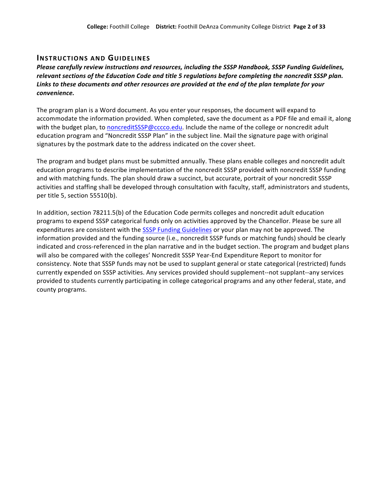### **INSTRUCTIONS AND GUIDELINES**

*Please&carefully&review&instructions and&resources, including&the&SSSP&Handbook,&SSSP&Funding&Guidelines,& relevant&sections&of&the&Education&Code and title&5 regulations before&completing&the noncredit&SSSP plan.* Links to these documents and other resources are provided at the end of the plan template for your *convenience.*

The program plan is a Word document. As you enter your responses, the document will expand to accommodate the information provided. When completed, save the document as a PDF file and email it, along with the budget plan, to noncreditSSSP@cccco.edu. Include the name of the college or noncredit adult education program and "Noncredit SSSP Plan" in the subject line. Mail the signature page with original signatures by the postmark date to the address indicated on the cover sheet.

The program and budget plans must be submitted annually. These plans enable colleges and noncredit adult education programs to describe implementation of the noncredit SSSP provided with noncredit SSSP funding and with matching funds. The plan should draw a succinct, but accurate, portrait of your noncredit SSSP activities and staffing shall be developed through consultation with faculty, staff, administrators and students, per title 5, section 55510(b).

In addition, section 78211.5(b) of the Education Code permits colleges and noncredit adult education programs to expend SSSP categorical funds only on activities approved by the Chancellor. Please be sure all expenditures are consistent with the SSSP Funding Guidelines or your plan may not be approved. The information provided and the funding source (i.e., noncredit SSSP funds or matching funds) should be clearly indicated and cross-referenced in the plan narrative and in the budget section. The program and budget plans will also be compared with the colleges' Noncredit SSSP Year-End Expenditure Report to monitor for consistency. Note that SSSP funds may not be used to supplant general or state categorical (restricted) funds currently expended on SSSP activities. Any services provided should supplement--not supplant--any services provided to students currently participating in college categorical programs and any other federal, state, and county programs.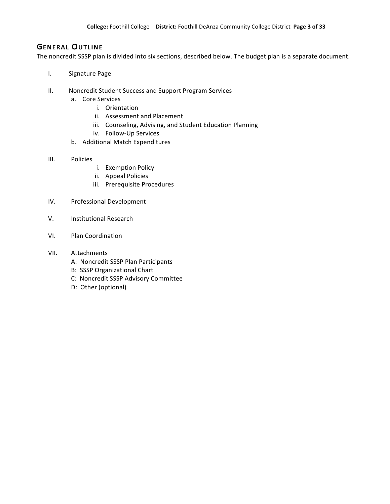### **GENERAL OUTLINE**

The noncredit SSSP plan is divided into six sections, described below. The budget plan is a separate document.

- I. Signature Page
- II. Noncredit Student Success and Support Program Services
	- a. Core Services
		- i. Orientation
		- ii. Assessment and Placement
		- iii. Counseling, Advising, and Student Education Planning
		- iv. Follow-Up Services
	- b. Additional Match Expenditures
- III. Policies
	- i. Exemption Policy
	- ii. Appeal Policies
	- iii. Prerequisite Procedures
- IV. Professional Development
- V. Institutional Research
- VI. Plan Coordination
- VII. Attachments
	- A: Noncredit SSSP Plan Participants
	- B: SSSP Organizational Chart
	- C: Noncredit SSSP Advisory Committee
	- D: Other (optional)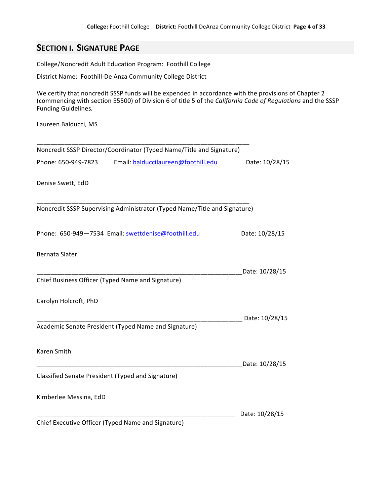# **SECTION I. SIGNATURE PAGE**

College/Noncredit Adult Education Program: Foothill College

District Name: Foothill-De Anza Community College District

\_\_\_\_\_\_\_\_\_\_\_\_\_\_\_\_\_\_\_\_\_\_\_\_\_\_\_\_\_\_\_\_\_\_\_\_\_\_\_\_\_\_\_\_\_\_\_\_\_\_\_\_\_\_\_\_\_\_\_\_\_

We certify that noncredit SSSP funds will be expended in accordance with the provisions of Chapter 2 (commencing with section 55500) of Division 6 of title 5 of the *California Code of Regulations* and the SSSP Funding!Guidelines*.*

Laureen Balducci, MS

| Noncredit SSSP Director/Coordinator (Typed Name/Title and Signature)      |                |
|---------------------------------------------------------------------------|----------------|
| Phone: 650-949-7823<br>Email: balduccilaureen@foothill.edu                | Date: 10/28/15 |
| Denise Swett, EdD                                                         |                |
| Noncredit SSSP Supervising Administrator (Typed Name/Title and Signature) |                |
| Phone: 650-949-7534 Email: swettdenise@foothill.edu                       | Date: 10/28/15 |
| Bernata Slater                                                            |                |
| Chief Business Officer (Typed Name and Signature)                         | Date: 10/28/15 |
| Carolyn Holcroft, PhD                                                     |                |
| Academic Senate President (Typed Name and Signature)                      | Date: 10/28/15 |
|                                                                           |                |
| Karen Smith                                                               | Date: 10/28/15 |
| Classified Senate President (Typed and Signature)                         |                |
| Kimberlee Messina, EdD                                                    |                |
|                                                                           | Date: 10/28/15 |
| Chief Executive Officer (Typed Name and Signature)                        |                |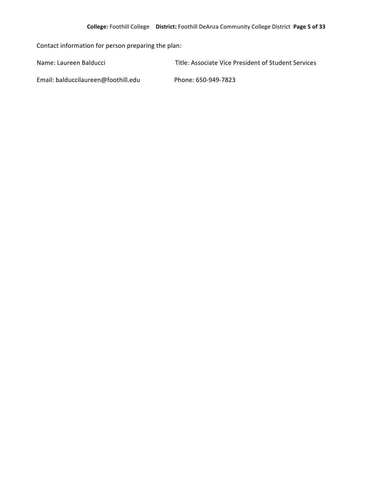Contact information for person preparing the plan:

Name: Laureen Balducci **1988 1998 120 Except 120 Except** Title: Associate Vice President of Student Services

Email: balduccilaureen@foothill.edu Phone: 650-949-7823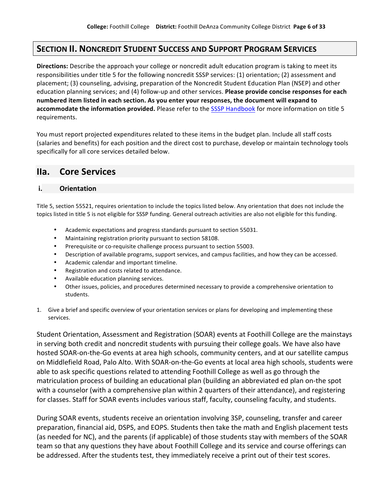## **SECTION II. NONCREDIT STUDENT SUCCESS AND SUPPORT PROGRAM SERVICES**

**Directions:** Describe the approach your college or noncredit adult education program is taking to meet its responsibilities under title 5 for the following noncredit SSSP services: (1) orientation; (2) assessment and placement; (3) counseling, advising, preparation of the Noncredit Student Education Plan (NSEP) and other education planning services; and (4) follow-up and other services. **Please provide concise responses for each numbered item listed in each section. As you enter your responses, the document will expand to accommodate the information provided.** Please refer to the SSSP Handbook for more information on title 5 requirements.

You must report projected expenditures related to these items in the budget plan. Include all staff costs (salaries and benefits) for each position and the direct cost to purchase, develop or maintain technology tools specifically for all core services detailed below.

## **IIa. Core+Services**

### **i. Orientation**

Title 5, section 55521, requires orientation to include the topics listed below. Any orientation that does not include the topics listed in title 5 is not eligible for SSSP funding. General outreach activities are also not eligible for this funding.

- Academic expectations and progress standards pursuant to section 55031.
- Maintaining registration priority pursuant to section 58108.
- Prerequisite or co-requisite challenge process pursuant to section 55003.
- Description of available programs, support services, and campus facilities, and how they can be accessed.
- Academic calendar and important timeline.
- Registration and costs related to attendance.
- Available education planning services.
- Other issues, policies, and procedures determined necessary to provide a comprehensive orientation to students.
- 1. Give a brief and specific overview of your orientation services or plans for developing and implementing these services.

Student Orientation, Assessment and Registration (SOAR) events at Foothill College are the mainstays in serving both credit and noncredit students with pursuing their college goals. We have also have hosted SOAR-on-the-Go events at area high schools, community centers, and at our satellite campus on Middlefield Road, Palo Alto. With SOAR-on-the-Go events at local area high schools, students were able to ask specific questions related to attending Foothill College as well as go through the matriculation process of building an educational plan (building an abbreviated ed plan on-the spot with a counselor (with a comprehensive plan within 2 quarters of their attendance), and registering for classes. Staff for SOAR events includes various staff, faculty, counseling faculty, and students.

During SOAR events, students receive an orientation involving 3SP, counseling, transfer and career preparation, financial aid, DSPS, and EOPS. Students then take the math and English placement tests (as needed for NC), and the parents (if applicable) of those students stay with members of the SOAR team so that any questions they have about Foothill College and its service and course offerings can be addressed. After the students test, they immediately receive a print out of their test scores.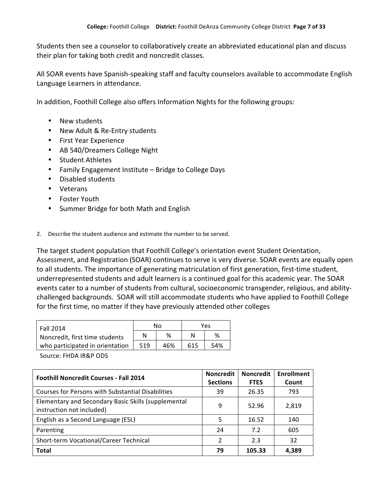Students then see a counselor to collaboratively create an abbreviated educational plan and discuss their plan for taking both credit and noncredit classes.

All SOAR events have Spanish-speaking staff and faculty counselors available to accommodate English Language Learners in attendance.

In addition, Foothill College also offers Information Nights for the following groups:

- New students
- New Adult & Re-Entry students
- First Year Experience
- AB 540/Dreamers College Night
- Student Athletes
- Family Engagement Institute Bridge to College Days
- Disabled students
- Veterans
- Foster Youth
- Summer Bridge for both Math and English

2. Describe the student audience and estimate the number to be served.

The target student population that Foothill College's orientation event Student Orientation, Assessment, and Registration (SOAR) continues to serve is very diverse. SOAR events are equally open to all students. The importance of generating matriculation of first generation, first-time student, underrepresented students and adult learners is a continued goal for this academic year. The SOAR events cater to a number of students from cultural, socioeconomic transgender, religious, and abilitychallenged backgrounds. SOAR will still accommodate students who have applied to Foothill College for the first time, no matter if they have previously attended other colleges

| Fall 2014                       |     | Nο  | Yes |     |  |
|---------------------------------|-----|-----|-----|-----|--|
| Noncredit, first time students  | Ν   | %   |     | %   |  |
| who participated in orientation | 519 | 46% | 615 | 54% |  |

Source: FHDA IR&P ODS

| <b>Foothill Noncredit Courses - Fall 2014</b>                                    | <b>Noncredit</b><br><b>Sections</b> | <b>Noncredit</b><br><b>FTES</b> | <b>Enrollment</b><br>Count |
|----------------------------------------------------------------------------------|-------------------------------------|---------------------------------|----------------------------|
| <b>Courses for Persons with Substantial Disabilities</b>                         | 39                                  | 26.35                           | 793                        |
| Elementary and Secondary Basic Skills (supplemental<br>instruction not included) | 9                                   | 52.96                           | 2,819                      |
| English as a Second Language (ESL)                                               | 5                                   | 16.52                           | 140                        |
| Parenting                                                                        | 24                                  | 7.2                             | 605                        |
| Short-term Vocational/Career Technical                                           | $\mathcal{P}$                       | 2.3                             | 32                         |
| <b>Total</b>                                                                     | 79                                  | 105.33                          | 4.389                      |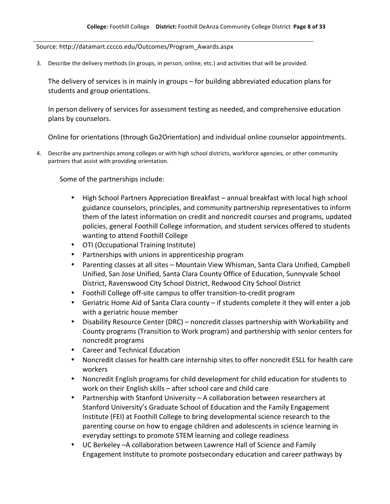#### Source: http://datamart.cccco.edu/Outcomes/Program\_Awards.aspx

3. Describe the delivery methods (in groups, in person, online, etc.) and activities that will be provided.

The delivery of services is in mainly in groups – for building abbreviated education plans for students and group orientations.

In person delivery of services for assessment testing as needed, and comprehensive education plans by counselors.

Online for orientations (through Go2Orientation) and individual online counselor appointments.

4. Describe any partnerships among colleges or with high school districts, workforce agencies, or other community partners that assist with providing orientation.

Some of the partnerships include:

- High School Partners Appreciation Breakfast annual breakfast with local high school guidance counselors, principles, and community partnership representatives to inform them of the latest information on credit and noncredit courses and programs, updated policies, general Foothill College information, and student services offered to students wanting to attend Foothill College
- OTI (Occupational Training Institute)
- Partnerships with unions in apprenticeship program
- Parenting classes at all sites Mountain View Whisman, Santa Clara Unified, Campbell Unified, San Jose Unified, Santa Clara County Office of Education, Sunnyvale School District, Ravenswood City School District, Redwood City School District
- Foothill College off-site campus to offer transition-to-credit program
- Geriatric Home Aid of Santa Clara county if students complete it they will enter a job with a geriatric house member
- Disability Resource Center (DRC) noncredit classes partnership with Workability and County programs (Transition to Work program) and partnership with senior centers for noncredit programs
- Career and Technical Education
- Noncredit classes for health care internship sites to offer noncredit ESLL for health care workers
- Noncredit English programs for child development for child education for students to work on their English skills – after school care and child care
- Partnership with Stanford University A collaboration between researchers at Stanford University's Graduate School of Education and the Family Engagement Institute (FEI) at Foothill College to bring developmental science research to the parenting course on how to engage children and adolescents in science learning in everyday settings to promote STEM learning and college readiness
- UC Berkeley –A collaboration between Lawrence Hall of Science and Family Engagement Institute to promote postsecondary education and career pathways by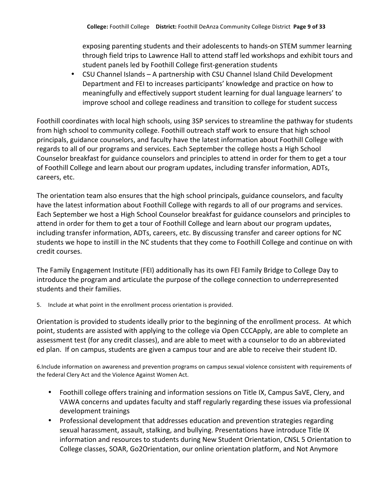exposing parenting students and their adolescents to hands-on STEM summer learning through field trips to Lawrence Hall to attend staff led workshops and exhibit tours and student panels led by Foothill College first-generation students

• CSU Channel Islands – A partnership with CSU Channel Island Child Development Department and FEI to increases participants' knowledge and practice on how to meaningfully and effectively support student learning for dual language learners' to improve school and college readiness and transition to college for student success

Foothill coordinates with local high schools, using 3SP services to streamline the pathway for students from high school to community college. Foothill outreach staff work to ensure that high school principals, guidance counselors, and faculty have the latest information about Foothill College with regards to all of our programs and services. Each September the college hosts a High School Counselor breakfast for guidance counselors and principles to attend in order for them to get a tour of Foothill College and learn about our program updates, including transfer information, ADTs, careers, etc.

The orientation team also ensures that the high school principals, guidance counselors, and faculty have the latest information about Foothill College with regards to all of our programs and services. Each September we host a High School Counselor breakfast for guidance counselors and principles to attend in order for them to get a tour of Foothill College and learn about our program updates, including transfer information, ADTs, careers, etc. By discussing transfer and career options for NC students we hope to instill in the NC students that they come to Foothill College and continue on with credit courses.

The Family Engagement Institute (FEI) additionally has its own FEI Family Bridge to College Day to introduce the program and articulate the purpose of the college connection to underrepresented students and their families.

5. Include at what point in the enrollment process orientation is provided.

Orientation is provided to students ideally prior to the beginning of the enrollment process. At which point, students are assisted with applying to the college via Open CCCApply, are able to complete an assessment test (for any credit classes), and are able to meet with a counselor to do an abbreviated ed plan. If on campus, students are given a campus tour and are able to receive their student ID.

6.Include information on awareness and prevention programs on campus sexual violence consistent with requirements of the federal Clery Act and the Violence Against Women Act.

- Foothill college offers training and information sessions on Title IX, Campus SaVE, Clery, and VAWA concerns and updates faculty and staff regularly regarding these issues via professional development trainings
- Professional development that addresses education and prevention strategies regarding sexual harassment, assault, stalking, and bullying. Presentations have introduce Title IX information and resources to students during New Student Orientation, CNSL 5 Orientation to College classes, SOAR, Go2Orientation, our online orientation platform, and Not Anymore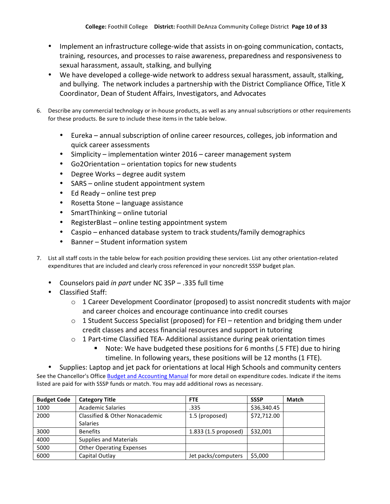- Implement an infrastructure college-wide that assists in on-going communication, contacts, training, resources, and processes to raise awareness, preparedness and responsiveness to sexual harassment, assault, stalking, and bullying
- We have developed a college-wide network to address sexual harassment, assault, stalking, and bullying. The network includes a partnership with the District Compliance Office, Title X Coordinator, Dean of Student Affairs, Investigators, and Advocates
- 6. Describe any commercial technology or in-house products, as well as any annual subscriptions or other requirements for these products. Be sure to include these items in the table below.
	- Eureka annual subscription of online career resources, colleges, job information and quick career assessments
	- Simplicity implementation winter  $2016$  career management system
	- Go2Orientation  $-$  orientation topics for new students
	- Degree Works degree audit system
	- SARS online student appointment system
	- Ed Ready online test prep
	- Rosetta Stone language assistance
	- SmartThinking online tutorial
	- RegisterBlast online testing appointment system
	- Caspio enhanced database system to track students/family demographics
	- Banner Student information system
- 7. List all staff costs in the table below for each position providing these services. List any other orientation-related expenditures that are included and clearly cross referenced in your noncredit SSSP budget plan.
	- Counselors paid *in part* under NC 3SP .335 full time
	- Classified Staff:
		- $\circ$  1 Career Development Coordinator (proposed) to assist noncredit students with major and career choices and encourage continuance into credit courses
		- $\circ$  1 Student Success Specialist (proposed) for FEI retention and bridging them under credit classes and access financial resources and support in tutoring
		- $\circ$  1 Part-time Classified TEA- Additional assistance during peak orientation times
			- Note: We have budgeted these positions for 6 months (.5 FTE) due to hiring timeline. In following years, these positions will be 12 months (1 FTE).

Supplies: Laptop and jet pack for orientations at local High Schools and community centers See the Chancellor's Office Budget and Accounting Manual for more detail on expenditure codes. Indicate if the items listed are paid for with SSSP funds or match. You may add additional rows as necessary.

| <b>Budget Code</b> | <b>Category Title</b>           | <b>FTE</b>           | <b>SSSP</b> | <b>Match</b> |
|--------------------|---------------------------------|----------------------|-------------|--------------|
| 1000               | <b>Academic Salaries</b>        | .335                 | \$36,340.45 |              |
| 2000               | Classified & Other Nonacademic  | 1.5 (proposed)       | \$72,712.00 |              |
|                    | <b>Salaries</b>                 |                      |             |              |
| 3000               | <b>Benefits</b>                 | 1.833 (1.5 proposed) | \$32,001    |              |
| 4000               | <b>Supplies and Materials</b>   |                      |             |              |
| 5000               | <b>Other Operating Expenses</b> |                      |             |              |
| 6000               | Capital Outlay                  | Jet packs/computers  | \$5,000     |              |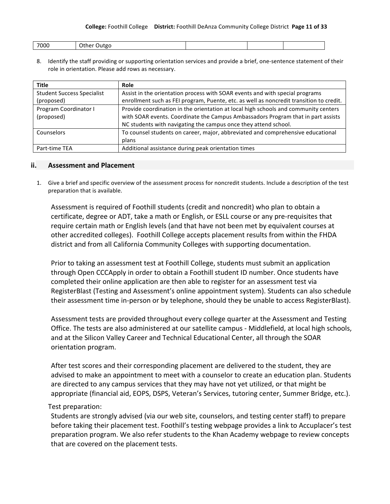#### **College:** Foothill College **District:** Foothill DeAnza Community College District Page 11 of 33

| 7000<br>'Jutgo<br>une |
|-----------------------|
|-----------------------|

8. Identify the staff providing or supporting orientation services and provide a brief, one-sentence statement of their role in orientation. Please add rows as necessary.

| <b>Title</b>                      | Role                                                                                    |
|-----------------------------------|-----------------------------------------------------------------------------------------|
| <b>Student Success Specialist</b> | Assist in the orientation process with SOAR events and with special programs            |
| (proposed)                        | enrollment such as FEI program, Puente, etc. as well as noncredit transition to credit. |
| Program Coordinator I             | Provide coordination in the orientation at local high schools and community centers     |
| (proposed)                        | with SOAR events. Coordinate the Campus Ambassadors Program that in part assists        |
|                                   | NC students with navigating the campus once they attend school.                         |
| Counselors                        | To counsel students on career, major, abbreviated and comprehensive educational         |
|                                   | plans                                                                                   |
| Part-time TEA                     | Additional assistance during peak orientation times                                     |

#### **ii. Assessment and+Placement**

1. Give a brief and specific overview of the assessment process for noncredit students. Include a description of the test preparation that is available.

Assessment is required of Foothill students (credit and noncredit) who plan to obtain a certificate, degree or ADT, take a math or English, or ESLL course or any pre-requisites that require certain math or English levels (and that have not been met by equivalent courses at other accredited colleges). Foothill College accepts placement results from within the FHDA district and from all California Community Colleges with supporting documentation.

Prior to taking an assessment test at Foothill College, students must submit an application through Open CCCApply in order to obtain a Foothill student ID number. Once students have completed their online application are then able to register for an assessment test via RegisterBlast (Testing and Assessment's online appointment system). Students can also schedule their assessment time in-person or by telephone, should they be unable to access RegisterBlast).

Assessment tests are provided throughout every college quarter at the Assessment and Testing Office. The tests are also administered at our satellite campus - Middlefield, at local high schools, and at the Silicon Valley Career and Technical Educational Center, all through the SOAR orientation program.

After test scores and their corresponding placement are delivered to the student, they are advised to make an appointment to meet with a counselor to create an education plan. Students are directed to any campus services that they may have not yet utilized, or that might be appropriate (financial aid, EOPS, DSPS, Veteran's Services, tutoring center, Summer Bridge, etc.).

### Test preparation:

Students are strongly advised (via our web site, counselors, and testing center staff) to prepare before taking their placement test. Foothill's testing webpage provides a link to Accuplacer's test preparation program. We also refer students to the Khan Academy webpage to review concepts that are covered on the placement tests.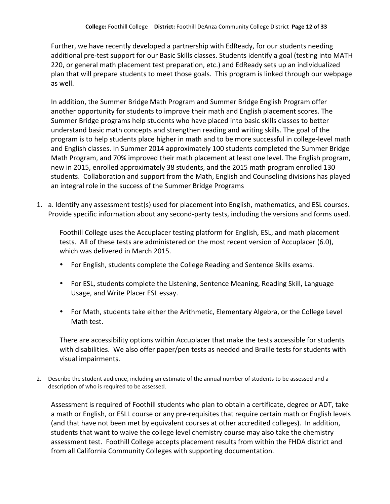Further, we have recently developed a partnership with EdReady, for our students needing additional pre-test support for our Basic Skills classes. Students identify a goal (testing into MATH 220, or general math placement test preparation, etc.) and EdReady sets up an individualized plan that will prepare students to meet those goals. This program is linked through our webpage as well.

In addition, the Summer Bridge Math Program and Summer Bridge English Program offer another opportunity for students to improve their math and English placement scores. The Summer Bridge programs help students who have placed into basic skills classes to better understand basic math concepts and strengthen reading and writing skills. The goal of the program is to help students place higher in math and to be more successful in college-level math and English classes. In Summer 2014 approximately 100 students completed the Summer Bridge Math Program, and 70% improved their math placement at least one level. The English program, new in 2015, enrolled approximately 38 students, and the 2015 math program enrolled 130 students. Collaboration and support from the Math, English and Counseling divisions has played an integral role in the success of the Summer Bridge Programs

1. a. Identify any assessment test(s) used for placement into English, mathematics, and ESL courses. Provide specific information about any second-party tests, including the versions and forms used.

Foothill College uses the Accuplacer testing platform for English, ESL, and math placement tests. All of these tests are administered on the most recent version of Accuplacer (6.0), which was delivered in March 2015.

- For English, students complete the College Reading and Sentence Skills exams.
- For ESL, students complete the Listening, Sentence Meaning, Reading Skill, Language Usage, and Write Placer ESL essay.
- For Math, students take either the Arithmetic, Elementary Algebra, or the College Level Math test.

There are accessibility options within Accuplacer that make the tests accessible for students with disabilities. We also offer paper/pen tests as needed and Braille tests for students with visual impairments.

2. Describe the student audience, including an estimate of the annual number of students to be assessed and a description of who is required to be assessed.

Assessment is required of Foothill students who plan to obtain a certificate, degree or ADT, take a math or English, or ESLL course or any pre-requisites that require certain math or English levels (and that have not been met by equivalent courses at other accredited colleges). In addition, students that want to waive the college level chemistry course may also take the chemistry assessment test. Foothill College accepts placement results from within the FHDA district and from all California Community Colleges with supporting documentation.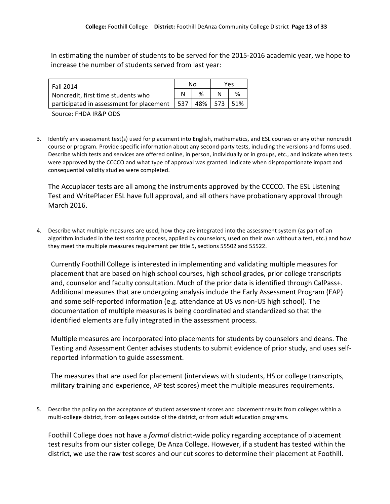In estimating the number of students to be served for the 2015-2016 academic year, we hope to increase the number of students served from last year:

| <b>Fall 2014</b>                                                 |  | N٥ |  | Υρς |  |
|------------------------------------------------------------------|--|----|--|-----|--|
| Noncredit, first time students who                               |  | ℅  |  |     |  |
| participated in assessment for placement   537   48%   573   51% |  |    |  |     |  |

Source: FHDA IR&P ODS

3. Identify any assessment test(s) used for placement into English, mathematics, and ESL courses or any other noncredit course or program. Provide specific information about any second-party tests, including the versions and forms used. Describe which tests and services are offered online, in person, individually or in groups, etc., and indicate when tests were approved by the CCCCO and what type of approval was granted. Indicate when disproportionate impact and consequential validity studies were completed.

The Accuplacer tests are all among the instruments approved by the CCCCO. The ESL Listening Test and WritePlacer ESL have full approval, and all others have probationary approval through March 2016.

4. Describe what multiple measures are used, how they are integrated into the assessment system (as part of an algorithm included in the test scoring process, applied by counselors, used on their own without a test, etc.) and how they meet the multiple measures requirement per title 5, sections 55502 and 55522.

Currently Foothill College is interested in implementing and validating multiple measures for placement that are based on high school courses, high school grades, prior college transcripts and, counselor and faculty consultation. Much of the prior data is identified through CalPass+. Additional measures that are undergoing analysis include the Early Assessment Program (EAP) and some self-reported information (e.g. attendance at US vs non-US high school). The documentation of multiple measures is being coordinated and standardized so that the identified elements are fully integrated in the assessment process.

Multiple measures are incorporated into placements for students by counselors and deans. The Testing and Assessment Center advises students to submit evidence of prior study, and uses selfreported information to guide assessment.

The measures that are used for placement (interviews with students, HS or college transcripts, military training and experience, AP test scores) meet the multiple measures requirements.

5. Describe the policy on the acceptance of student assessment scores and placement results from colleges within a multi-college district, from colleges outside of the district, or from adult education programs.

Foothill College does not have a *formal* district-wide policy regarding acceptance of placement test results from our sister college, De Anza College. However, if a student has tested within the district, we use the raw test scores and our cut scores to determine their placement at Foothill.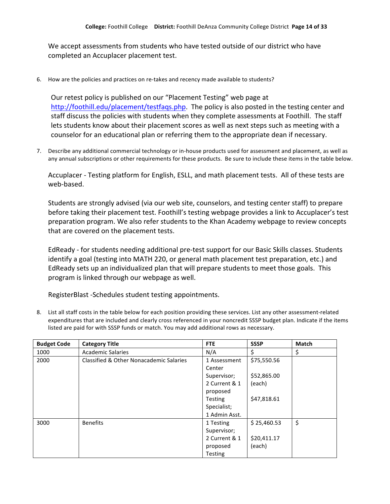We accept assessments from students who have tested outside of our district who have completed an Accuplacer placement test.

6. How are the policies and practices on re-takes and recency made available to students?

Our retest policy is published on our "Placement Testing" web page at http://foothill.edu/placement/testfaqs.php. The policy is also posted in the testing center and staff discuss the policies with students when they complete assessments at Foothill. The staff lets students know about their placement scores as well as next steps such as meeting with a counselor for an educational plan or referring them to the appropriate dean if necessary.

7. Describe any additional commercial technology or in-house products used for assessment and placement, as well as any annual subscriptions or other requirements for these products. Be sure to include these items in the table below.

Accuplacer - Testing platform for English, ESLL, and math placement tests. All of these tests are web-based.

Students are strongly advised (via our web site, counselors, and testing center staff) to prepare before taking their placement test. Foothill's testing webpage provides a link to Accuplacer's test preparation program. We also refer students to the Khan Academy webpage to review concepts that are covered on the placement tests.

EdReady - for students needing additional pre-test support for our Basic Skills classes. Students identify a goal (testing into MATH 220, or general math placement test preparation, etc.) and EdReady sets up an individualized plan that will prepare students to meet those goals. This program is linked through our webpage as well.

RegisterBlast -Schedules student testing appointments.

8. List all staff costs in the table below for each position providing these services. List any other assessment-related expenditures that are included and clearly cross referenced in your noncredit SSSP budget plan. Indicate if the items listed are paid for with SSSP funds or match. You may add additional rows as necessary.

| <b>Budget Code</b> | <b>Category Title</b>                   | <b>FTE</b>     | <b>SSSP</b> | <b>Match</b> |
|--------------------|-----------------------------------------|----------------|-------------|--------------|
| 1000               | <b>Academic Salaries</b>                | N/A            | \$          | \$           |
| 2000               | Classified & Other Nonacademic Salaries | 1 Assessment   | \$75,550.56 |              |
|                    |                                         | Center         |             |              |
|                    |                                         | Supervisor;    | \$52,865.00 |              |
|                    |                                         | 2 Current & 1  | (each)      |              |
|                    |                                         | proposed       |             |              |
|                    |                                         | <b>Testing</b> | \$47,818.61 |              |
|                    |                                         | Specialist;    |             |              |
|                    |                                         | 1 Admin Asst.  |             |              |
| 3000               | <b>Benefits</b>                         | 1 Testing      | \$25,460.53 | \$           |
|                    |                                         | Supervisor;    |             |              |
|                    |                                         | 2 Current & 1  | \$20,411.17 |              |
|                    |                                         | proposed       | (each)      |              |
|                    |                                         | <b>Testing</b> |             |              |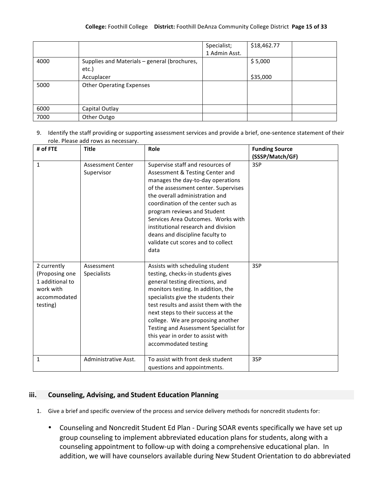|      |                                                       | Specialist;   | \$18,462.77 |
|------|-------------------------------------------------------|---------------|-------------|
|      |                                                       | 1 Admin Asst. |             |
| 4000 | Supplies and Materials - general (brochures,<br>etc.) |               | \$5,000     |
|      | Accuplacer                                            |               | \$35,000    |
| 5000 | <b>Other Operating Expenses</b>                       |               |             |
| 6000 | Capital Outlay                                        |               |             |
| 7000 | Other Outgo                                           |               |             |

9. Identify the staff providing or supporting assessment services and provide a brief, one-sentence statement of their role. Please add rows as necessary.

| # of FTE                                                                                  | <b>Title</b>                           | Role                                                                                                                                                                                                                                                                                                                                                                                                                  | <b>Funding Source</b><br>(SSSP/Match/GF) |
|-------------------------------------------------------------------------------------------|----------------------------------------|-----------------------------------------------------------------------------------------------------------------------------------------------------------------------------------------------------------------------------------------------------------------------------------------------------------------------------------------------------------------------------------------------------------------------|------------------------------------------|
| $\mathbf{1}$                                                                              | <b>Assessment Center</b><br>Supervisor | Supervise staff and resources of<br>Assessment & Testing Center and<br>manages the day-to-day operations<br>of the assessment center. Supervises<br>the overall administration and<br>coordination of the center such as<br>program reviews and Student<br>Services Area Outcomes. Works with<br>institutional research and division<br>deans and discipline faculty to<br>validate cut scores and to collect<br>data | 3SP                                      |
| 2 currently<br>(Proposing one<br>1 additional to<br>work with<br>accommodated<br>testing) | Assessment<br>Specialists              | Assists with scheduling student<br>testing, checks-in students gives<br>general testing directions, and<br>monitors testing. In addition, the<br>specialists give the students their<br>test results and assist them with the<br>next steps to their success at the<br>college. We are proposing another<br>Testing and Assessment Specialist for<br>this year in order to assist with<br>accommodated testing        | 3SP                                      |
| 1                                                                                         | Administrative Asst.                   | To assist with front desk student<br>questions and appointments.                                                                                                                                                                                                                                                                                                                                                      | 3SP                                      |

### **iii. Counseling,+Advising,+and+Student Education+Planning**

- 1. Give a brief and specific overview of the process and service delivery methods for noncredit students for:
	- Counseling and Noncredit Student Ed Plan During SOAR events specifically we have set up group counseling to implement abbreviated education plans for students, along with a counseling appointment to follow-up with doing a comprehensive educational plan. In addition, we will have counselors available during New Student Orientation to do abbreviated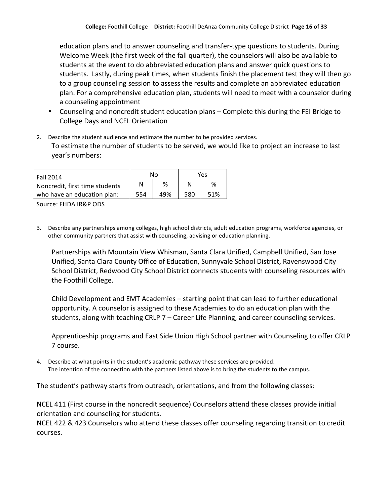education plans and to answer counseling and transfer-type questions to students. During Welcome Week (the first week of the fall quarter), the counselors will also be available to students at the event to do abbreviated education plans and answer quick questions to students. Lastly, during peak times, when students finish the placement test they will then go to a group counseling session to assess the results and complete an abbreviated education plan. For a comprehensive education plan, students will need to meet with a counselor during a counseling appointment

- Counseling and noncredit student education plans Complete this during the FEI Bridge to College Days and NCEL Orientation
- 2. Describe the student audience and estimate the number to be provided services. To estimate the number of students to be served, we would like to project an increase to last year's numbers:

| <b>Fall 2014</b>               | N٥  |     | Yes |     |
|--------------------------------|-----|-----|-----|-----|
| Noncredit, first time students |     | %   |     | ℅   |
| who have an education plan:    | 554 | 49% | 580 | 51% |

Source: FHDA IR&P ODS

3. Describe any partnerships among colleges, high school districts, adult education programs, workforce agencies, or other community partners that assist with counseling, advising or education planning.

Partnerships with Mountain View Whisman, Santa Clara Unified, Campbell Unified, San Jose Unified, Santa Clara County Office of Education, Sunnyvale School District, Ravenswood City School District, Redwood City School District connects students with counseling resources with the Foothill College.

Child Development and EMT Academies – starting point that can lead to further educational opportunity. A counselor is assigned to these Academies to do an education plan with the students, along with teaching  $CRLP$   $7$  – Career Life Planning, and career counseling services.

Apprenticeship programs and East Side Union High School partner with Counseling to offer CRLP 7!course.

4. Describe at what points in the student's academic pathway these services are provided. The intention of the connection with the partners listed above is to bring the students to the campus.

The student's pathway starts from outreach, orientations, and from the following classes:

NCEL 411 (First course in the noncredit sequence) Counselors attend these classes provide initial orientation and counseling for students.

NCEL 422 & 423 Counselors who attend these classes offer counseling regarding transition to credit courses.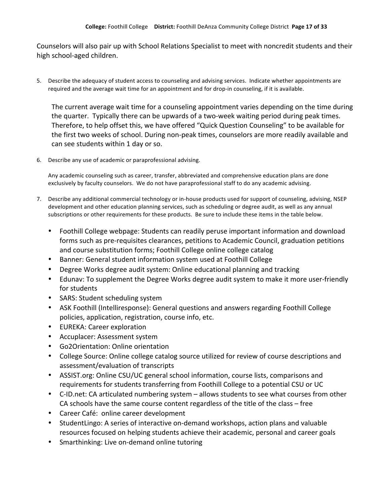Counselors will also pair up with School Relations Specialist to meet with noncredit students and their high school-aged children.

5. Describe the adequacy of student access to counseling and advising services. Indicate whether appointments are required and the average wait time for an appointment and for drop-in counseling, if it is available.

The current average wait time for a counseling appointment varies depending on the time during the quarter. Typically there can be upwards of a two-week waiting period during peak times. Therefore, to help offset this, we have offered "Quick Question Counseling" to be available for the first two weeks of school. During non-peak times, counselors are more readily available and can see students within 1 day or so.

6. Describe any use of academic or paraprofessional advising.

Any academic counseling such as career, transfer, abbreviated and comprehensive education plans are done exclusively by faculty counselors. We do not have paraprofessional staff to do any academic advising.

- 7. Describe any additional commercial technology or in-house products used for support of counseling, advising, NSEP development and other education planning services, such as scheduling or degree audit, as well as any annual subscriptions or other requirements for these products. Be sure to include these items in the table below.
	- Foothill College webpage: Students can readily peruse important information and download forms such as pre-requisites clearances, petitions to Academic Council, graduation petitions and course substitution forms; Foothill College online college catalog
	- Banner: General student information system used at Foothill College
	- Degree Works degree audit system: Online educational planning and tracking
	- Edunav: To supplement the Degree Works degree audit system to make it more user-friendly for students
	- SARS: Student scheduling system
	- ASK Foothill (Intelliresponse): General questions and answers regarding Foothill College policies, application, registration, course info, etc.
	- EUREKA: Career exploration
	- Accuplacer: Assessment system
	- Go2Orientation: Online orientation
	- College Source: Online college catalog source utilized for review of course descriptions and assessment/evaluation of transcripts
	- ASSIST.org: Online CSU/UC general school information, course lists, comparisons and requirements for students transferring from Foothill College to a potential CSU or UC
	- C-ID.net: CA articulated numbering system allows students to see what courses from other CA schools have the same course content regardless of the title of the class – free
	- Career Café: online career development
	- StudentLingo: A series of interactive on-demand workshops, action plans and valuable resources focused on helping students achieve their academic, personal and career goals
	- Smarthinking: Live on-demand online tutoring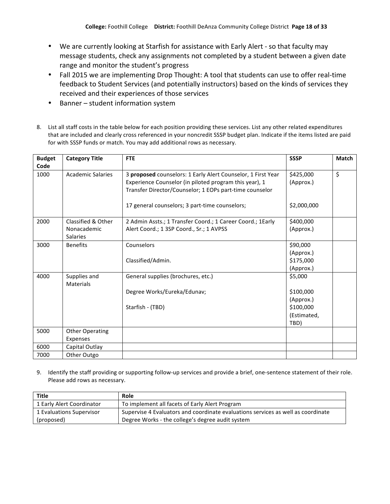- We are currently looking at Starfish for assistance with Early Alert so that faculty may message students, check any assignments not completed by a student between a given date range and monitor the student's progress
- Fall 2015 we are implementing Drop Thought: A tool that students can use to offer real-time feedback to Student Services (and potentially instructors) based on the kinds of services they received and their experiences of those services
- Banner student information system
- 8. List all staff costs in the table below for each position providing these services. List any other related expenditures that are included and clearly cross referenced in your noncredit SSSP budget plan. Indicate if the items listed are paid for with SSSP funds or match. You may add additional rows as necessary.

| <b>Budget</b><br>Code | <b>Category Title</b>                                | <b>FTE</b>                                                                                                                                                                        | <b>SSSP</b>                                                           | <b>Match</b> |
|-----------------------|------------------------------------------------------|-----------------------------------------------------------------------------------------------------------------------------------------------------------------------------------|-----------------------------------------------------------------------|--------------|
| 1000                  | <b>Academic Salaries</b>                             | 3 proposed counselors: 1 Early Alert Counselor, 1 First Year<br>Experience Counselor (in piloted program this year), 1<br>Transfer Director/Counselor; 1 EOPs part-time counselor | \$425,000<br>(Approx.)                                                | \$           |
|                       |                                                      | 17 general counselors; 3 part-time counselors;                                                                                                                                    | \$2,000,000                                                           |              |
| 2000                  | Classified & Other<br>Nonacademic<br><b>Salaries</b> | 2 Admin Assts.; 1 Transfer Coord.; 1 Career Coord.; 1 Early<br>Alert Coord.; 1 3SP Coord., Sr.; 1 AVPSS                                                                           | \$400,000<br>(Approx.)                                                |              |
| 3000                  | <b>Benefits</b>                                      | Counselors<br>Classified/Admin.                                                                                                                                                   | \$90,000<br>(Approx.)<br>\$175,000<br>(Approx.)                       |              |
| 4000                  | Supplies and<br><b>Materials</b>                     | General supplies (brochures, etc.)<br>Degree Works/Eureka/Edunav;<br>Starfish - (TBD)                                                                                             | \$5,000<br>\$100,000<br>(Approx.)<br>\$100,000<br>(Estimated,<br>TBD) |              |
| 5000                  | <b>Other Operating</b><br>Expenses                   |                                                                                                                                                                                   |                                                                       |              |
| 6000                  | Capital Outlay                                       |                                                                                                                                                                                   |                                                                       |              |
| 7000                  | Other Outgo                                          |                                                                                                                                                                                   |                                                                       |              |

9. Identify the staff providing or supporting follow-up services and provide a brief, one-sentence statement of their role. Please add rows as necessary.

| Title                     | Role                                                                             |
|---------------------------|----------------------------------------------------------------------------------|
| 1 Early Alert Coordinator | To implement all facets of Early Alert Program                                   |
| 1 Evaluations Supervisor  | Supervise 4 Evaluators and coordinate evaluations services as well as coordinate |
| (proposed)                | Degree Works - the college's degree audit system                                 |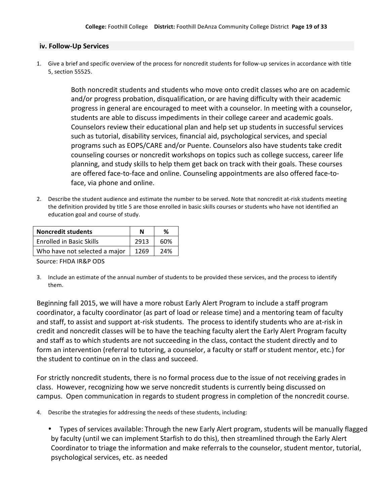#### iv. Follow-Up Services

1. Give a brief and specific overview of the process for noncredit students for follow-up services in accordance with title 5, section 55525.

> Both noncredit students and students who move onto credit classes who are on academic and/or progress probation, disqualification, or are having difficulty with their academic progress in general are encouraged to meet with a counselor. In meeting with a counselor, students are able to discuss impediments in their college career and academic goals. Counselors review their educational plan and help set up students in successful services such as tutorial, disability services, financial aid, psychological services, and special programs such as EOPS/CARE and/or Puente. Counselors also have students take credit counseling courses or noncredit workshops on topics such as college success, career life planning, and study skills to help them get back on track with their goals. These courses are offered face-to-face and online. Counseling appointments are also offered face-toface, via phone and online.

2. Describe the student audience and estimate the number to be served. Note that noncredit at-risk students meeting the definition provided by title 5 are those enrolled in basic skills courses or students who have not identified an education goal and course of study.

| <b>Noncredit students</b>       |      | %   |
|---------------------------------|------|-----|
| <b>Enrolled in Basic Skills</b> | 2913 | 60% |
| Who have not selected a major   | 1269 | 24% |

Source: FHDA IR&P ODS

3. Include an estimate of the annual number of students to be provided these services, and the process to identify them.!

Beginning fall 2015, we will have a more robust Early Alert Program to include a staff program coordinator, a faculty coordinator (as part of load or release time) and a mentoring team of faculty and staff, to assist and support at-risk students. The process to identify students who are at-risk in credit and noncredit classes will be to have the teaching faculty alert the Early Alert Program faculty and staff as to which students are not succeeding in the class, contact the student directly and to form an intervention (referral to tutoring, a counselor, a faculty or staff or student mentor, etc.) for the student to continue on in the class and succeed.

For strictly noncredit students, there is no formal process due to the issue of not receiving grades in class. However, recognizing how we serve noncredit students is currently being discussed on campus. Open communication in regards to student progress in completion of the noncredit course.

- 4. Describe the strategies for addressing the needs of these students, including:
	- Types of services available: Through the new Early Alert program, students will be manually flagged by faculty (until we can implement Starfish to do this), then streamlined through the Early Alert Coordinator to triage the information and make referrals to the counselor, student mentor, tutorial, psychological services, etc. as needed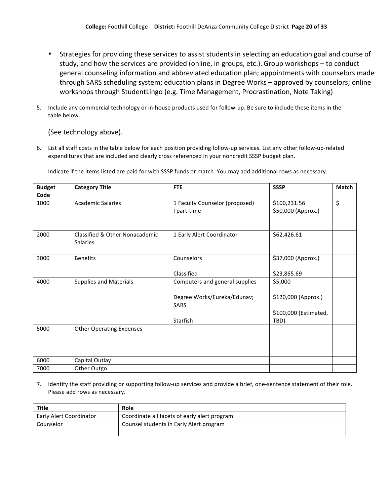- Strategies for providing these services to assist students in selecting an education goal and course of study, and how the services are provided (online, in groups, etc.). Group workshops – to conduct general counseling information and abbreviated education plan; appointments with counselors made through SARS scheduling system; education plans in Degree Works – approved by counselors; online workshops through StudentLingo (e.g. Time Management, Procrastination, Note Taking)
- 5. Include any commercial technology or in-house products used for follow-up. Be sure to include these items in the table below.

(See technology above).

6. List all staff costs in the table below for each position providing follow-up services. List any other follow-up-related expenditures that are included and clearly cross referenced in your noncredit SSSP budget plan.

| <b>Budget</b> | <b>Category Title</b>           | <b>FTE</b>                     | <b>SSSP</b>           | <b>Match</b> |
|---------------|---------------------------------|--------------------------------|-----------------------|--------------|
| Code          |                                 |                                |                       |              |
| 1000          | <b>Academic Salaries</b>        | 1 Faculty Counselor (proposed) | \$100,231.56          | \$           |
|               |                                 | I part-time                    | \$50,000 (Approx.)    |              |
|               |                                 |                                |                       |              |
| 2000          | Classified & Other Nonacademic  | 1 Early Alert Coordinator      | \$62,426.61           |              |
|               | <b>Salaries</b>                 |                                |                       |              |
| 3000          | <b>Benefits</b>                 | Counselors                     | \$37,000 (Approx.)    |              |
|               |                                 | Classified                     | \$23,865.69           |              |
| 4000          | <b>Supplies and Materials</b>   | Computers and general supplies | \$5,000               |              |
|               |                                 | Degree Works/Eureka/Edunav;    | \$120,000 (Approx.)   |              |
|               |                                 | <b>SARS</b>                    |                       |              |
|               |                                 |                                | \$100,000 (Estimated, |              |
|               |                                 | Starfish                       | TBD)                  |              |
| 5000          | <b>Other Operating Expenses</b> |                                |                       |              |
|               |                                 |                                |                       |              |
|               |                                 |                                |                       |              |
| 6000          | Capital Outlay                  |                                |                       |              |
| 7000          | Other Outgo                     |                                |                       |              |

Indicate if the items listed are paid for with SSSP funds or match. You may add additional rows as necessary.

7. Identify the staff providing or supporting follow-up services and provide a brief, one-sentence statement of their role. Please add rows as necessary.

| <b>Title</b>                   | Role                                         |
|--------------------------------|----------------------------------------------|
| <b>Early Alert Coordinator</b> | Coordinate all facets of early alert program |
| Counselor                      | Counsel students in Early Alert program      |
|                                |                                              |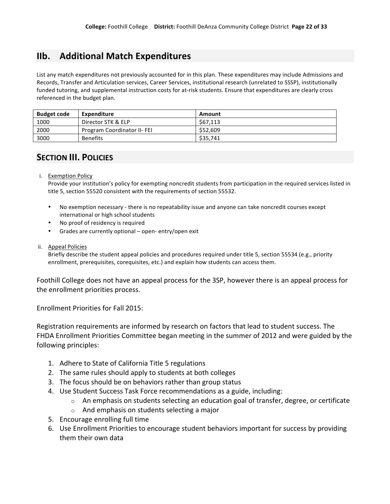# **IIb. Additional Match+Expenditures**

List any match expenditures not previously accounted for in this plan. These expenditures may include Admissions and Records, Transfer and Articulation services, Career Services, institutional research (unrelated to SSSP), institutionally funded tutoring, and supplemental instruction costs for at-risk students. Ensure that expenditures are clearly cross referenced in the budget plan.

| <b>Budget code</b> | Expenditure                 | Amount   |
|--------------------|-----------------------------|----------|
| 1000               | Director STK & ELP          | \$67,113 |
| 2000               | Program Coordinator II- FEI | \$52,609 |
| 3000               | <b>Benefits</b>             | \$35,741 |

# **SECTION III. POLICIES**

i. Exemption Policy

Provide your institution's policy for exempting noncredit students from participation in the required services listed in title 5, section 55520 consistent with the requirements of section 55532.

- No exemption necessary there is no repeatability issue and anyone can take noncredit courses except international or high school students
- No proof of residency is required
- Grades are currently optional open-entry/open exit
- ii. Appeal Policies

Briefly describe the student appeal policies and procedures required under title 5, section 55534 (e.g., priority enrollment, prerequisites, corequisites, etc.) and explain how students can access them.

Foothill College does not have an appeal process for the 3SP, however there is an appeal process for the enrollment priorities process.

Enrollment Priorities for Fall 2015:

Registration requirements are informed by research on factors that lead to student success. The FHDA Enrollment Priorities Committee began meeting in the summer of 2012 and were guided by the following principles:

- 1. Adhere to State of California Title 5 regulations
- 2. The same rules should apply to students at both colleges
- 3. The focus should be on behaviors rather than group status
- 4. Use Student Success Task Force recommendations as a guide, including:
	- $\circ$  An emphasis on students selecting an education goal of transfer, degree, or certificate
	- $\circ$  And emphasis on students selecting a major
- 5. Encourage enrolling full time
- 6. Use Enrollment Priorities to encourage student behaviors important for success by providing them their own data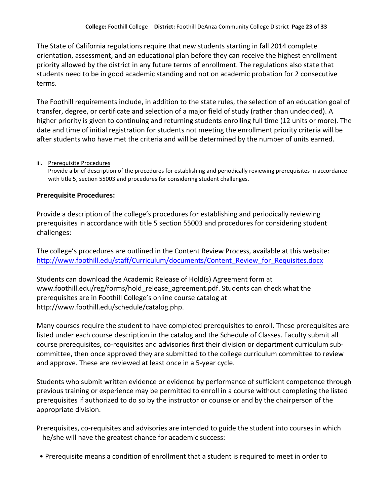The State of California regulations require that new students starting in fall 2014 complete orientation, assessment, and an educational plan before they can receive the highest enrollment priority allowed by the district in any future terms of enrollment. The regulations also state that students need to be in good academic standing and not on academic probation for 2 consecutive terms.

The Foothill requirements include, in addition to the state rules, the selection of an education goal of transfer, degree, or certificate and selection of a major field of study (rather than undecided). A higher priority is given to continuing and returning students enrolling full time (12 units or more). The date and time of initial registration for students not meeting the enrollment priority criteria will be after students who have met the criteria and will be determined by the number of units earned.

### iii. Prerequisite Procedures

Provide a brief description of the procedures for establishing and periodically reviewing prerequisites in accordance with title 5, section 55003 and procedures for considering student challenges.

### **Prerequisite Procedures:**

Provide a description of the college's procedures for establishing and periodically reviewing prerequisites in accordance with title 5 section 55003 and procedures for considering student challenges:

The college's procedures are outlined in the Content Review Process, available at this website: http://www.foothill.edu/staff/Curriculum/documents/Content\_Review\_for\_Requisites.docx

Students can download the Academic Release of Hold(s) Agreement form at www.foothill.edu/reg/forms/hold release agreement.pdf. Students can check what the prerequisites are in Foothill College's online course catalog at http://www.foothill.edu/schedule/catalog.php.

Many courses require the student to have completed prerequisites to enroll. These prerequisites are listed under each course description in the catalog and the Schedule of Classes. Faculty submit all course prerequisites, co-requisites and advisories first their division or department curriculum subcommittee, then once approved they are submitted to the college curriculum committee to review and approve. These are reviewed at least once in a 5-year cycle.

Students who submit written evidence or evidence by performance of sufficient competence through previous training or experience may be permitted to enroll in a course without completing the listed prerequisites if authorized to do so by the instructor or counselor and by the chairperson of the appropriate division.

Prerequisites, co-requisites and advisories are intended to guide the student into courses in which he/she will have the greatest chance for academic success:

• Prerequisite means a condition of enrollment that a student is required to meet in order to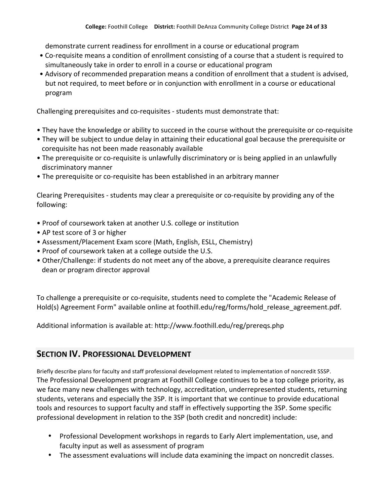demonstrate current readiness for enrollment in a course or educational program

- Co-requisite means a condition of enrollment consisting of a course that a student is required to simultaneously take in order to enroll in a course or educational program
- Advisory of recommended preparation means a condition of enrollment that a student is advised, but not required, to meet before or in conjunction with enrollment in a course or educational program

Challenging prerequisites and co-requisites - students must demonstrate that:

- They have the knowledge or ability to succeed in the course without the prerequisite or co-requisite
- They will be subject to undue delay in attaining their educational goal because the prerequisite or corequisite has not been made reasonably available
- The prerequisite or co-requisite is unlawfully discriminatory or is being applied in an unlawfully discriminatory manner
- The prerequisite or co-requisite has been established in an arbitrary manner

Clearing Prerequisites - students may clear a prerequisite or co-requisite by providing any of the following:

- Proof of coursework taken at another U.S. college or institution
- AP test score of 3 or higher
- Assessment/Placement Exam score (Math, English, ESLL, Chemistry)
- Proof of coursework taken at a college outside the U.S.
- Other/Challenge: if students do not meet any of the above, a prerequisite clearance requires dean or program director approval

To challenge a prerequisite or co-requisite, students need to complete the "Academic Release of Hold(s) Agreement Form" available online at foothill.edu/reg/forms/hold\_release\_agreement.pdf.

Additional information is available at: http://www.foothill.edu/reg/prereqs.php

# **SECTION IV. PROFESSIONAL DEVELOPMENT**

Briefly describe plans for faculty and staff professional development related to implementation of noncredit SSSP. The Professional Development program at Foothill College continues to be a top college priority, as we face many new challenges with technology, accreditation, underrepresented students, returning students, veterans and especially the 3SP. It is important that we continue to provide educational tools and resources to support faculty and staff in effectively supporting the 3SP. Some specific professional development in relation to the 3SP (both credit and noncredit) include:

- Professional Development workshops in regards to Early Alert implementation, use, and faculty input as well as assessment of program
- The assessment evaluations will include data examining the impact on noncredit classes.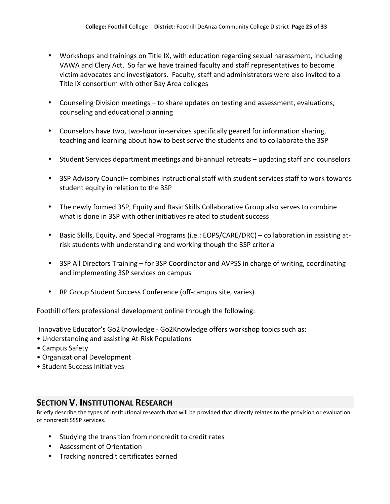- Workshops and trainings on Title IX, with education regarding sexual harassment, including VAWA and Clery Act. So far we have trained faculty and staff representatives to become victim advocates and investigators. Faculty, staff and administrators were also invited to a Title IX consortium with other Bay Area colleges
- Counseling Division meetings to share updates on testing and assessment, evaluations, counseling and educational planning
- Counselors have two, two-hour in-services specifically geared for information sharing, teaching and learning about how to best serve the students and to collaborate the 3SP
- Student Services department meetings and bi-annual retreats updating staff and counselors
- 3SP Advisory Council– combines instructional staff with student services staff to work towards student equity in relation to the 3SP
- The newly formed 3SP, Equity and Basic Skills Collaborative Group also serves to combine what is done in 3SP with other initiatives related to student success
- Basic Skills, Equity, and Special Programs (i.e.: EOPS/CARE/DRC) collaboration in assisting atrisk students with understanding and working though the 3SP criteria
- 3SP All Directors Training for 3SP Coordinator and AVPSS in charge of writing, coordinating and implementing 3SP services on campus
- RP Group Student Success Conference (off-campus site, varies)

Foothill offers professional development online through the following:

Innovative Educator's Go2Knowledge - Go2Knowledge offers workshop topics such as:

- Understanding and assisting At-Risk Populations
- Campus Safety
- Organizational Development
- Student Success Initiatives

## **SECTION V. INSTITUTIONAL RESEARCH**

Briefly describe the types of institutional research that will be provided that directly relates to the provision or evaluation of noncredit SSSP services.

- Studying the transition from noncredit to credit rates
- Assessment of Orientation
- Tracking noncredit certificates earned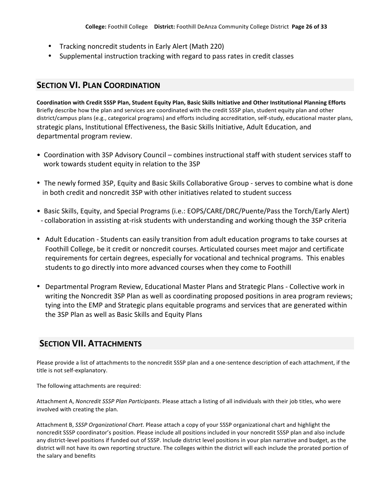- Tracking noncredit students in Early Alert (Math 220)
- Supplemental instruction tracking with regard to pass rates in credit classes

## **SECTION VI. PLAN COORDINATION**

Coordination with Credit SSSP Plan, Student Equity Plan, Basic Skills Initiative and Other Institutional Planning Efforts Briefly describe how the plan and services are coordinated with the credit SSSP plan, student equity plan and other district/campus plans (e.g., categorical programs) and efforts including accreditation, self-study, educational master plans, strategic plans, Institutional Effectiveness, the Basic Skills Initiative, Adult Education, and departmental program review.

- Coordination with 3SP Advisory Council combines instructional staff with student services staff to work towards student equity in relation to the 3SP
- The newly formed 3SP, Equity and Basic Skills Collaborative Group serves to combine what is done in both credit and noncredit 3SP with other initiatives related to student success
- Basic Skills, Equity, and Special Programs (i.e.: EOPS/CARE/DRC/Puente/Pass the Torch/Early Alert) - collaboration in assisting at-risk students with understanding and working though the 3SP criteria
- Adult Education Students can easily transition from adult education programs to take courses at Foothill College, be it credit or noncredit courses. Articulated courses meet major and certificate requirements for certain degrees, especially for vocational and technical programs. This enables students to go directly into more advanced courses when they come to Foothill
- Departmental Program Review, Educational Master Plans and Strategic Plans Collective work in writing the Noncredit 3SP Plan as well as coordinating proposed positions in area program reviews; tying into the EMP and Strategic plans equitable programs and services that are generated within the 3SP Plan as well as Basic Skills and Equity Plans

# **SECTION+VII. ATTACHMENTS**

Please provide a list of attachments to the noncredit SSSP plan and a one-sentence description of each attachment, if the title is not self-explanatory.

The following attachments are required:

Attachment A, Noncredit SSSP Plan Participants. Please attach a listing of all individuals with their job titles, who were involved with creating the plan.

Attachment B, *SSSP Organizational Chart*. Please attach a copy of your SSSP organizational chart and highlight the noncredit SSSP coordinator's position. Please include all positions included in your noncredit SSSP plan and also include any district-level positions if funded out of SSSP. Include district level positions in your plan narrative and budget, as the district will not have its own reporting structure. The colleges within the district will each include the prorated portion of the salary and benefits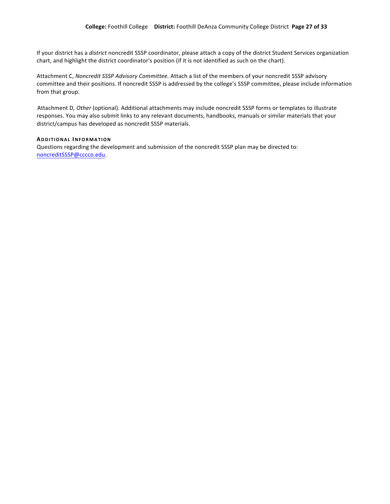If your district has a *district* noncredit SSSP coordinator, please attach a copy of the district Student Services organization chart, and highlight the district coordinator's position (if it is not identified as such on the chart).

Attachment C, Noncredit SSSP Advisory Committee. Attach a list of the members of your noncredit SSSP advisory committee and their positions. If noncredit SSSP is addressed by the college's SSSP committee, please include information from that group.

Attachment D, Other (optional). Additional attachments may include noncredit SSSP forms or templates to illustrate responses. You may also submit links to any relevant documents, handbooks, manuals or similar materials that your district/campus has developed as noncredit SSSP materials.

#### **ADDITIONAL INFORMATION**

Questions regarding the development and submission of the noncredit SSSP plan may be directed to: noncreditSSSP@cccco.edu.!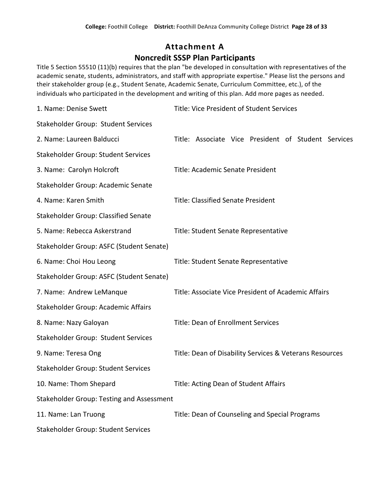# **Attachment+A Noncredit+SSSP Plan+Participants**

Title 5 Section 55510 (11)(b) requires that the plan "be developed in consultation with representatives of the academic senate, students, administrators, and staff with appropriate expertise." Please list the persons and their stakeholder group (e.g., Student Senate, Academic Senate, Curriculum Committee, etc.), of the individuals who participated in the development and writing of this plan. Add more pages as needed.

| 1. Name: Denise Swett                     | Title: Vice President of Student Services               |
|-------------------------------------------|---------------------------------------------------------|
| Stakeholder Group: Student Services       |                                                         |
| 2. Name: Laureen Balducci                 | Title: Associate Vice President of Student Services     |
| Stakeholder Group: Student Services       |                                                         |
| 3. Name: Carolyn Holcroft                 | Title: Academic Senate President                        |
| Stakeholder Group: Academic Senate        |                                                         |
| 4. Name: Karen Smith                      | <b>Title: Classified Senate President</b>               |
| Stakeholder Group: Classified Senate      |                                                         |
| 5. Name: Rebecca Askerstrand              | Title: Student Senate Representative                    |
| Stakeholder Group: ASFC (Student Senate)  |                                                         |
| 6. Name: Choi Hou Leong                   | Title: Student Senate Representative                    |
| Stakeholder Group: ASFC (Student Senate)  |                                                         |
| 7. Name: Andrew LeManque                  | Title: Associate Vice President of Academic Affairs     |
| Stakeholder Group: Academic Affairs       |                                                         |
| 8. Name: Nazy Galoyan                     | Title: Dean of Enrollment Services                      |
| Stakeholder Group: Student Services       |                                                         |
| 9. Name: Teresa Ong                       | Title: Dean of Disability Services & Veterans Resources |
| Stakeholder Group: Student Services       |                                                         |
| 10. Name: Thom Shepard                    | Title: Acting Dean of Student Affairs                   |
| Stakeholder Group: Testing and Assessment |                                                         |
| 11. Name: Lan Truong                      | Title: Dean of Counseling and Special Programs          |
| Stakeholder Group: Student Services       |                                                         |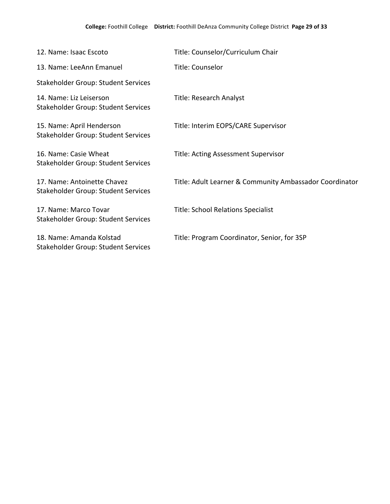| 12. Name: Isaac Escoto                                                  | Title: Counselor/Curriculum Chair                       |
|-------------------------------------------------------------------------|---------------------------------------------------------|
| 13. Name: LeeAnn Emanuel                                                | Title: Counselor                                        |
| Stakeholder Group: Student Services                                     |                                                         |
| 14. Name: Liz Leiserson<br>Stakeholder Group: Student Services          | Title: Research Analyst                                 |
| 15. Name: April Henderson<br><b>Stakeholder Group: Student Services</b> | Title: Interim EOPS/CARE Supervisor                     |
| 16. Name: Casie Wheat<br>Stakeholder Group: Student Services            | <b>Title: Acting Assessment Supervisor</b>              |
| 17. Name: Antoinette Chavez<br>Stakeholder Group: Student Services      | Title: Adult Learner & Community Ambassador Coordinator |
| 17. Name: Marco Tovar<br><b>Stakeholder Group: Student Services</b>     | <b>Title: School Relations Specialist</b>               |
| 18. Name: Amanda Kolstad<br><b>Stakeholder Group: Student Services</b>  | Title: Program Coordinator, Senior, for 3SP             |
|                                                                         |                                                         |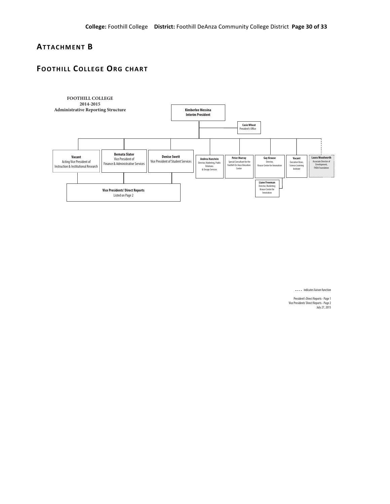### **ATTACHMENT+B**

## **FOOTHILL COLLEGE ORG CHART**



 $---$  indicates liaison function

President's Direct Reports -Page1 VicePresidents'Direct Reports -Page2 July27,2015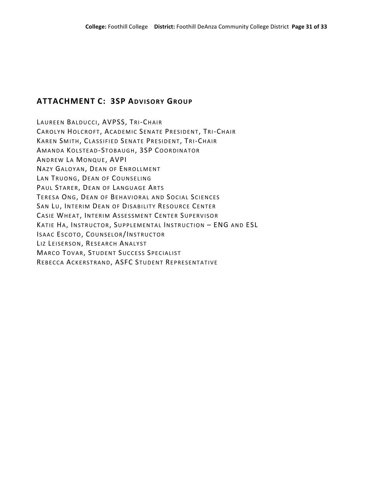# **ATTACHMENT C: 3SP ADVISORY GROUP**

LAUREEN BALDUCCI, AVPSS, TRI-CHAIR CAROLYN HOLCROFT, ACADEMIC SENATE PRESIDENT, TRI-CHAIR KAREN SMITH, CLASSIFIED SENATE PRESIDENT, TRI-CHAIR AMANDA KOLSTEAD-STOBAUGH, 3SP COORDINATOR ANDREW LA MONQUE, AVPI NAZY GALOYAN, DEAN OF ENROLLMENT LAN TRUONG, DEAN OF COUNSELING PAUL STARER, DEAN OF LANGUAGE ARTS TERESA ONG, DEAN OF BEHAVIORAL AND SOCIAL SCIENCES SAN LU, INTERIM DEAN OF DISABILITY RESOURCE CENTER CASIE WHEAT, INTERIM ASSESSMENT CENTER SUPERVISOR KATIE HA, INSTRUCTOR, SUPPLEMENTAL INSTRUCTION - ENG AND ESL ISAAC!ESCOTO, COUNSELOR/INSTRUCTOR LIZ LEISERSON, RESEARCH ANALYST MARCO TOVAR, STUDENT SUCCESS SPECIALIST REBECCA ACKERSTRAND, ASFC STUDENT REPRESENTATIVE